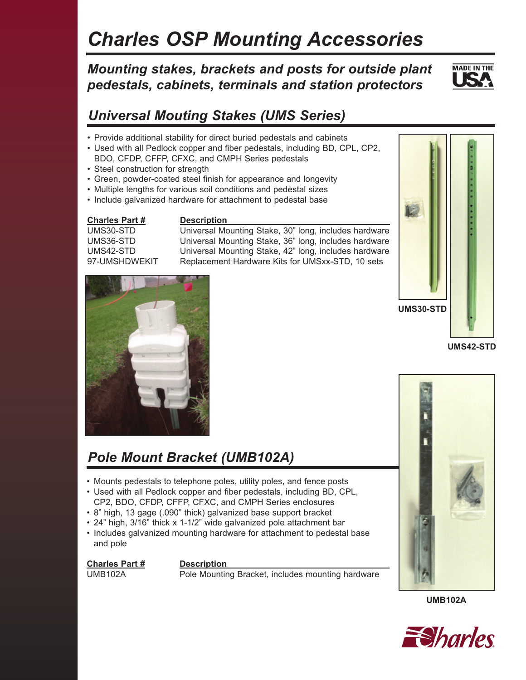# *Charles OSP Mounting Accessories*

### *Mounting stakes, brackets and posts for outside plant pedestals, cabinets, terminals and station protectors*



## *Universal Mouting Stakes (UMS Series)*

- Provide additional stability for direct buried pedestals and cabinets
- Used with all Pedlock copper and fiber pedestals, including BD, CPL, CP2, BDO, CFDP, CFFP, CFXC, and CMPH Series pedestals
- Steel construction for strength
- Green, powder-coated steel finish for appearance and longevity
- Multiple lengths for various soil conditions and pedestal sizes
- Include galvanized hardware for attachment to pedestal base

**Charles Part # Description** 

UMS30-STD Universal Mounting Stake, 30" long, includes hardware UMS36-STD Universal Mounting Stake, 36" long, includes hardware UMS42-STD Universal Mounting Stake, 42" long, includes hardware 97-UMSHDWEKIT Replacement Hardware Kits for UMSxx-STD, 10 sets



**UMS42-STD**



## *Pole Mount Bracket (UMB102A)*

- Mounts pedestals to telephone poles, utility poles, and fence posts
- Used with all Pedlock copper and fiber pedestals, including BD, CPL, CP2, BDO, CFDP, CFFP, CFXC, and CMPH Series enclosures
- 8" high, 13 gage (.090" thick) galvanized base support bracket
- 24" high, 3/16" thick x 1-1/2" wide galvanized pole attachment bar
- Includes galvanized mounting hardware for attachment to pedestal base and pole

### **Charles Part # Description**

UMB102A Pole Mounting Bracket, includes mounting hardware



**UMB102A**